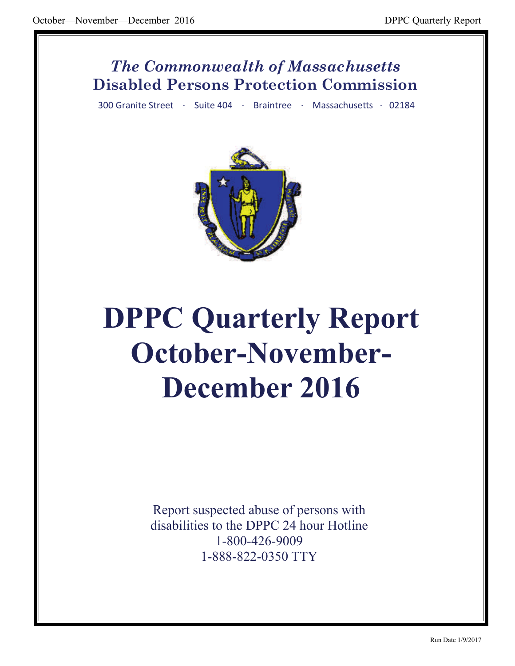## *The Commonwealth of Massachusetts* **Disabled Persons Protection Commission**

300 Granite Street · Suite 404 · Braintree · Massachusetts · 02184



# **DPPC Quarterly Report October-November-December 2016**

Report suspected abuse of persons with disabilities to the DPPC 24 hour Hotline 1-800-426-9009 1-888-822-0350 TTY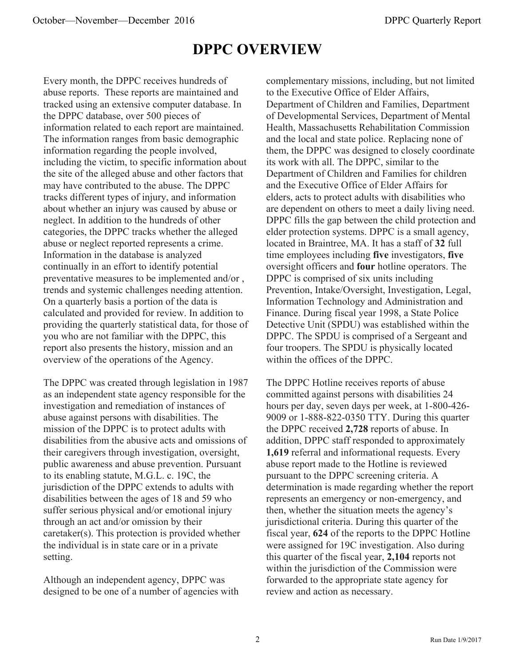## **DPPC OVERVIEW**

Every month, the DPPC receives hundreds of abuse reports. These reports are maintained and tracked using an extensive computer database. In the DPPC database, over 500 pieces of information related to each report are maintained. The information ranges from basic demographic information regarding the people involved, including the victim, to specific information about the site of the alleged abuse and other factors that may have contributed to the abuse. The DPPC tracks different types of injury, and information about whether an injury was caused by abuse or neglect. In addition to the hundreds of other categories, the DPPC tracks whether the alleged abuse or neglect reported represents a crime. Information in the database is analyzed continually in an effort to identify potential preventative measures to be implemented and/or , trends and systemic challenges needing attention. On a quarterly basis a portion of the data is calculated and provided for review. In addition to providing the quarterly statistical data, for those of you who are not familiar with the DPPC, this report also presents the history, mission and an overview of the operations of the Agency.

The DPPC was created through legislation in 1987 as an independent state agency responsible for the investigation and remediation of instances of abuse against persons with disabilities. The mission of the DPPC is to protect adults with disabilities from the abusive acts and omissions of their caregivers through investigation, oversight, public awareness and abuse prevention. Pursuant to its enabling statute, M.G.L. c. 19C, the jurisdiction of the DPPC extends to adults with disabilities between the ages of 18 and 59 who suffer serious physical and/or emotional injury through an act and/or omission by their caretaker(s). This protection is provided whether the individual is in state care or in a private setting.

Although an independent agency, DPPC was designed to be one of a number of agencies with complementary missions, including, but not limited to the Executive Office of Elder Affairs, Department of Children and Families, Department of Developmental Services, Department of Mental Health, Massachusetts Rehabilitation Commission and the local and state police. Replacing none of them, the DPPC was designed to closely coordinate its work with all. The DPPC, similar to the Department of Children and Families for children and the Executive Office of Elder Affairs for elders, acts to protect adults with disabilities who are dependent on others to meet a daily living need. DPPC fills the gap between the child protection and elder protection systems. DPPC is a small agency, located in Braintree, MA. It has a staff of **32** full time employees including **five** investigators, **five**  oversight officers and **four** hotline operators. The DPPC is comprised of six units including Prevention, Intake/Oversight, Investigation, Legal, Information Technology and Administration and Finance. During fiscal year 1998, a State Police Detective Unit (SPDU) was established within the DPPC. The SPDU is comprised of a Sergeant and four troopers. The SPDU is physically located within the offices of the DPPC.

The DPPC Hotline receives reports of abuse committed against persons with disabilities 24 hours per day, seven days per week, at 1-800-426- 9009 or 1-888-822-0350 TTY. During this quarter the DPPC received **2,728** reports of abuse. In addition, DPPC staff responded to approximately **1,619** referral and informational requests. Every abuse report made to the Hotline is reviewed pursuant to the DPPC screening criteria. A determination is made regarding whether the report represents an emergency or non-emergency, and then, whether the situation meets the agency's jurisdictional criteria. During this quarter of the fiscal year, **624** of the reports to the DPPC Hotline were assigned for 19C investigation. Also during this quarter of the fiscal year, **2,104** reports not within the jurisdiction of the Commission were forwarded to the appropriate state agency for review and action as necessary.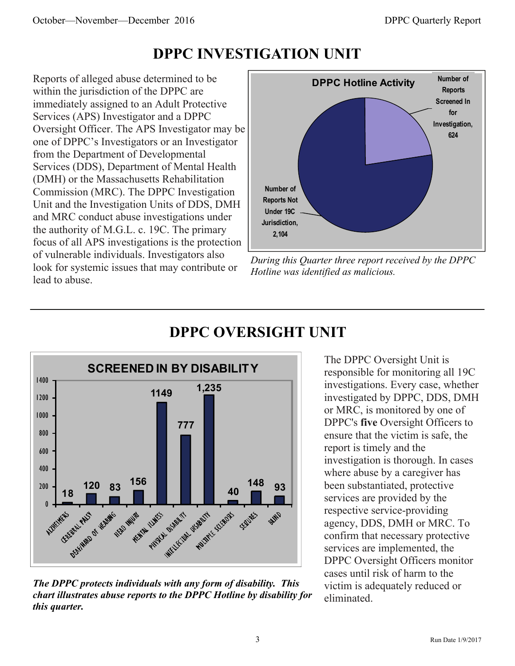## **DPPC INVESTIGATION UNIT**

Reports of alleged abuse determined to be within the jurisdiction of the DPPC are immediately assigned to an Adult Protective Services (APS) Investigator and a DPPC Oversight Officer. The APS Investigator may be one of DPPC's Investigators or an Investigator from the Department of Developmental Services (DDS), Department of Mental Health (DMH) or the Massachusetts Rehabilitation Commission (MRC). The DPPC Investigation Unit and the Investigation Units of DDS, DMH and MRC conduct abuse investigations under the authority of M.G.L. c. 19C. The primary focus of all APS investigations is the protection of vulnerable individuals. Investigators also look for systemic issues that may contribute or lead to abuse.



*During this Quarter three report received by the DPPC Hotline was identified as malicious.* 



## **DPPC OVERSIGHT UNIT**

*The DPPC protects individuals with any form of disability. This chart illustrates abuse reports to the DPPC Hotline by disability for this quarter.* 

The DPPC Oversight Unit is responsible for monitoring all 19C investigations. Every case, whether investigated by DPPC, DDS, DMH or MRC, is monitored by one of DPPC's **five** Oversight Officers to ensure that the victim is safe, the report is timely and the investigation is thorough. In cases where abuse by a caregiver has been substantiated, protective services are provided by the respective service-providing agency, DDS, DMH or MRC. To confirm that necessary protective services are implemented, the DPPC Oversight Officers monitor cases until risk of harm to the victim is adequately reduced or eliminated.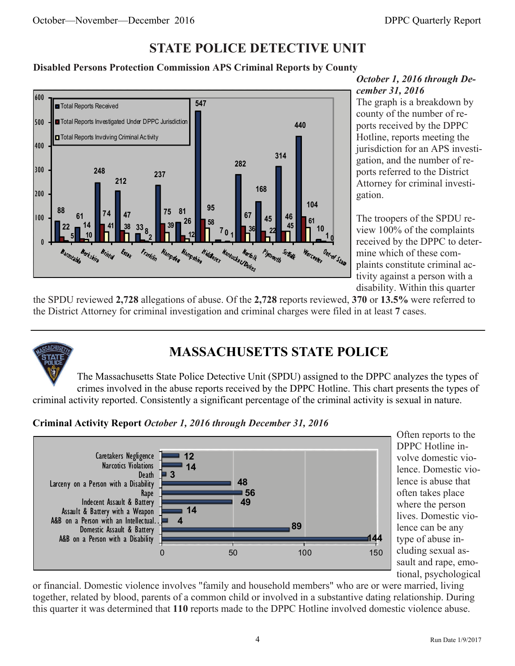### **STATE POLICE DETECTIVE UNIT**

#### **Disabled Persons Protection Commission APS Criminal Reports by County**



#### *October 1, 2016 through December 31, 2016*

The graph is a breakdown by county of the number of reports received by the DPPC Hotline, reports meeting the jurisdiction for an APS investigation, and the number of reports referred to the District Attorney for criminal investigation.

The troopers of the SPDU review 100% of the complaints received by the DPPC to determine which of these complaints constitute criminal activity against a person with a disability. Within this quarter

the SPDU reviewed **2,728** allegations of abuse. Of the **2,728** reports reviewed, **370** or **13.5%** were referred to the District Attorney for criminal investigation and criminal charges were filed in at least **7** cases.



## **MASSACHUSETTS STATE POLICE**

The Massachusetts State Police Detective Unit (SPDU) assigned to the DPPC analyzes the types of crimes involved in the abuse reports received by the DPPC Hotline. This chart presents the types of criminal activity reported. Consistently a significant percentage of the criminal activity is sexual in nature.

**Criminal Activity Report** *October 1, 2016 through December 31, 2016*



Often reports to the DPPC Hotline involve domestic violence. Domestic violence is abuse that often takes place where the person lives. Domestic violence can be any type of abuse including sexual assault and rape, emotional, psychological

or financial. Domestic violence involves "family and household members" who are or were married, living together, related by blood, parents of a common child or involved in a substantive dating relationship. During this quarter it was determined that **110** reports made to the DPPC Hotline involved domestic violence abuse.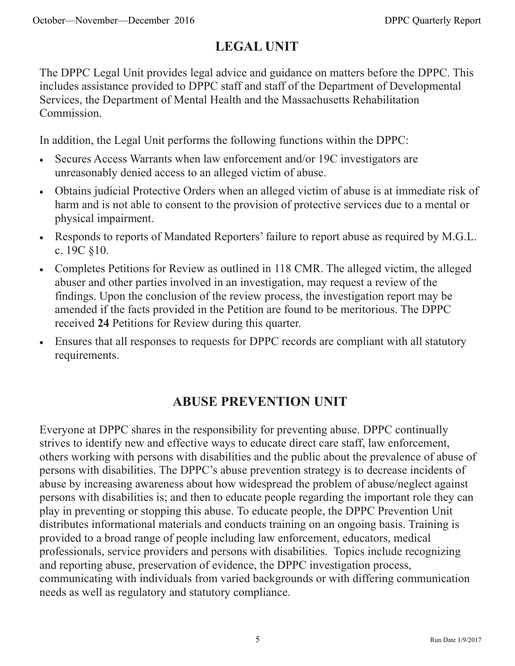## **LEGAL UNIT**

The DPPC Legal Unit provides legal advice and guidance on matters before the DPPC. This includes assistance provided to DPPC staff and staff of the Department of Developmental Services, the Department of Mental Health and the Massachusetts Rehabilitation Commission.

In addition, the Legal Unit performs the following functions within the DPPC:

- Secures Access Warrants when law enforcement and/or 19C investigators are unreasonably denied access to an alleged victim of abuse.
- Obtains judicial Protective Orders when an alleged victim of abuse is at immediate risk of harm and is not able to consent to the provision of protective services due to a mental or physical impairment.
- Responds to reports of Mandated Reporters' failure to report abuse as required by M.G.L. c. 19C §10.
- Completes Petitions for Review as outlined in 118 CMR. The alleged victim, the alleged abuser and other parties involved in an investigation, may request a review of the findings. Upon the conclusion of the review process, the investigation report may be amended if the facts provided in the Petition are found to be meritorious. The DPPC received **24** Petitions for Review during this quarter.
- Ensures that all responses to requests for DPPC records are compliant with all statutory requirements.

## **ABUSE PREVENTION UNIT**

Everyone at DPPC shares in the responsibility for preventing abuse. DPPC continually strives to identify new and effective ways to educate direct care staff, law enforcement, others working with persons with disabilities and the public about the prevalence of abuse of persons with disabilities. The DPPC's abuse prevention strategy is to decrease incidents of abuse by increasing awareness about how widespread the problem of abuse/neglect against persons with disabilities is; and then to educate people regarding the important role they can play in preventing or stopping this abuse. To educate people, the DPPC Prevention Unit distributes informational materials and conducts training on an ongoing basis. Training is provided to a broad range of people including law enforcement, educators, medical professionals, service providers and persons with disabilities. Topics include recognizing and reporting abuse, preservation of evidence, the DPPC investigation process, communicating with individuals from varied backgrounds or with differing communication needs as well as regulatory and statutory compliance.